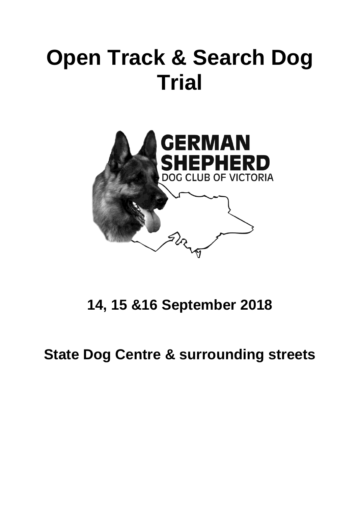# **Open Track & Search Dog Trial**



**14, 15 &16 September 2018**

**State Dog Centre & surrounding streets**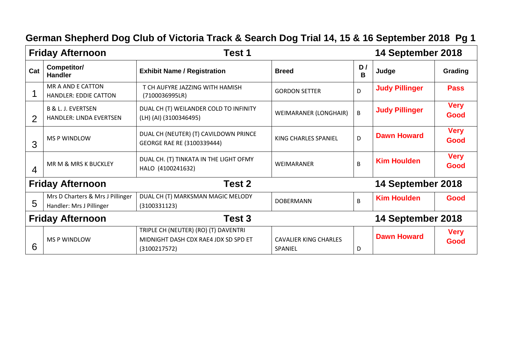| <b>Friday Afternoon</b><br>Test 1 |                                                                 |                                                                                              |                                         |         | 14 September 2018     |                     |
|-----------------------------------|-----------------------------------------------------------------|----------------------------------------------------------------------------------------------|-----------------------------------------|---------|-----------------------|---------------------|
| Cat                               | Competitor/<br><b>Handler</b>                                   | <b>Exhibit Name / Registration</b>                                                           | <b>Breed</b>                            | D/<br>B | Judge                 | Grading             |
|                                   | MR A AND E CATTON<br><b>HANDLER: EDDIE CATTON</b>               | T CH AUFYRE JAZZING WITH HAMISH<br>(7100036995LR)                                            | <b>GORDON SETTER</b>                    | D       | <b>Judy Pillinger</b> | <b>Pass</b>         |
| $\overline{2}$                    | <b>B &amp; L. J. EVERTSEN</b><br><b>HANDLER: LINDA EVERTSEN</b> | DUAL CH (T) WEILANDER COLD TO INFINITY<br>(LH) (AI) (3100346495)                             | WEIMARANER (LONGHAIR)                   | B       | <b>Judy Pillinger</b> | <b>Very</b><br>Good |
| 3                                 | <b>MS P WINDLOW</b>                                             | DUAL CH (NEUTER) (T) CAVILDOWN PRINCE<br>GEORGE RAE RE (3100339444)                          | KING CHARLES SPANIEL                    | D       | <b>Dawn Howard</b>    | <b>Very</b><br>Good |
| $\overline{4}$                    | MR M & MRS K BUCKLEY                                            | DUAL CH. (T) TINKATA IN THE LIGHT OFMY<br>HALO (4100241632)                                  | <b>WEIMARANER</b>                       | B       | <b>Kim Houlden</b>    | <b>Very</b><br>Good |
|                                   | <b>Friday Afternoon</b>                                         | Test 2                                                                                       |                                         |         | 14 September 2018     |                     |
| 5                                 | Mrs D Charters & Mrs J Pillinger<br>Handler: Mrs J Pillinger    | DUAL CH (T) MARKSMAN MAGIC MELODY<br>(3100331123)                                            | <b>DOBERMANN</b>                        | B       | <b>Kim Houlden</b>    | Good                |
| <b>Friday Afternoon</b>           |                                                                 | Test 3                                                                                       |                                         |         | 14 September 2018     |                     |
| 6                                 | <b>MS P WINDLOW</b>                                             | TRIPLE CH (NEUTER) (RO) (T) DAVENTRI<br>MIDNIGHT DASH CDX RAE4 JDX SD SPD ET<br>(3100217572) | <b>CAVALIER KING CHARLES</b><br>SPANIEL | D       | <b>Dawn Howard</b>    | <b>Very</b><br>Good |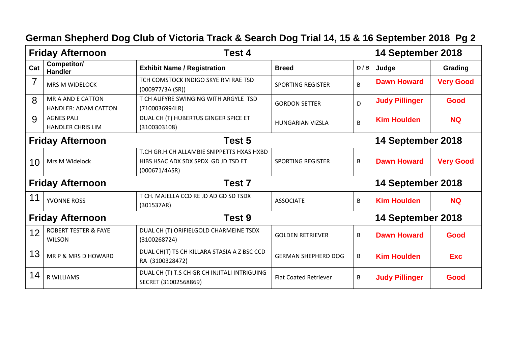#### **Friday Afternoon Test 4 14 September 2018 Cat Competitor/ Exhibit Name / Registration Breed D** / B  $\vert$  D / B  $\vert$  Judge **Grading**  $7 \mid_{MRS M WIDELOCK}$ TCH COMSTOCK INDIGO SKYE RM RAE TSD (000977/3A (SR)) SPORTING REGISTER <sup>B</sup> **Dawn Howard Very Good** 8 | MR A AND E CATTON HANDLER: ADAM CATTON T CH AUFYRE SWINGING WITH ARGYLE TSD (7100036994LR) GORDON SETTER D **Judy Pillinger Good** 9 AGNES PALI HANDLER CHRIS LIM DUAL CH (T) HUBERTUS GINGER SPICE ET (3100303108) HUNGARIAN VIZSLA B **Kim Houlden NQ Friday Afternoon Test 5 14 September 2018** 10 | Mrs M Widelock T.CH GR.H.CH ALLAMBIE SNIPPETTS HXAS HXBD HIBS HSAC ADX SDX SPDX GD JD TSD ET (000671/4ASR) SPORTING REGISTER **B Dawn Howard Very Good Friday Afternoon Test 7 14 September 2018** 11 YVONNE ROSS T CH. MAJELLA CCD RE JD AD GD SD TSDX (301537AR) ASSOCIATE B **Kim Houlden NQ Friday Afternoon Test 9 14 September 2018** 12 | ROBERT TESTER & FAYE WILSON DUAL CH (T) ORIFIELGOLD CHARMEINE TSDX (3100268724) GOLDEN RETRIEVER B **Dawn Howard Good**  $13$  MR P & MRS D HOWARD DUAL CH(T) TS CH KILLARA STASIA A Z BSC CCD RA (3100328472) GERMAN SHEPHERD DOG B **Kim Houlden Exc**  $14$  R WILLIAMS DUAL CH (T) T.S CH GR CH INJITALI INTRIGUING SECRET (31002568869) Flat Coated Retriever B **Judy Pillinger Good**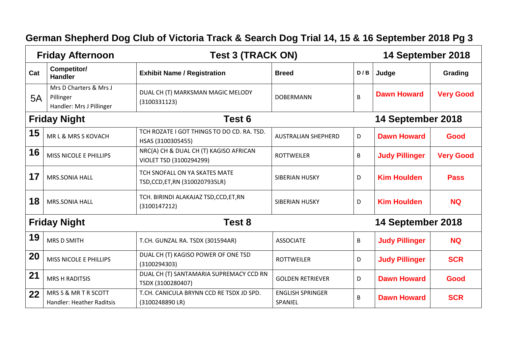| <b>Test 3 (TRACK ON)</b><br><b>Friday Afternoon</b> |                                                                 |                                                                   |                                    | 14 September 2018 |                       |                  |
|-----------------------------------------------------|-----------------------------------------------------------------|-------------------------------------------------------------------|------------------------------------|-------------------|-----------------------|------------------|
| Cat                                                 | Competitor/<br><b>Handler</b>                                   | <b>Exhibit Name / Registration</b>                                | <b>Breed</b>                       | D/B               | Judge                 | Grading          |
| 5A                                                  | Mrs D Charters & Mrs J<br>Pillinger<br>Handler: Mrs J Pillinger | DUAL CH (T) MARKSMAN MAGIC MELODY<br>(3100331123)                 | <b>DOBERMANN</b>                   | B                 | <b>Dawn Howard</b>    | <b>Very Good</b> |
|                                                     | <b>Friday Night</b>                                             | Test 6                                                            |                                    |                   | 14 September 2018     |                  |
| 15                                                  | MR L & MRS S KOVACH                                             | TCH ROZATE I GOT THINGS TO DO CD. RA. TSD.<br>HSAS (3100305455)   | <b>AUSTRALIAN SHEPHERD</b>         | D                 | <b>Dawn Howard</b>    | Good             |
| 16                                                  | MISS NICOLE E PHILLIPS                                          | NRC(A) CH & DUAL CH (T) KAGISO AFRICAN<br>VIOLET TSD (3100294299) | <b>ROTTWEILER</b>                  | B                 | <b>Judy Pillinger</b> | <b>Very Good</b> |
| 17                                                  | <b>MRS.SONIA HALL</b>                                           | TCH SNOFALL ON YA SKATES MATE<br>TSD,CCD,ET,RN (3100207935LR)     | <b>SIBERIAN HUSKY</b>              | D                 | <b>Kim Houlden</b>    | <b>Pass</b>      |
| 18                                                  | <b>MRS.SONIA HALL</b>                                           | TCH. BIRINDI ALAKAJAZ TSD, CCD, ET, RN<br>(3100147212)            | <b>SIBERIAN HUSKY</b>              | D                 | <b>Kim Houlden</b>    | <b>NQ</b>        |
|                                                     | <b>Friday Night</b>                                             | Test 8                                                            |                                    |                   | 14 September 2018     |                  |
| 19                                                  | <b>MRS D SMITH</b>                                              | T.CH. GUNZAL RA. TSDX (301594AR)                                  | <b>ASSOCIATE</b>                   | B                 | <b>Judy Pillinger</b> | <b>NQ</b>        |
| 20                                                  | MISS NICOLE E PHILLIPS                                          | DUAL CH (T) KAGISO POWER OF ONE TSD<br>(3100294303)               | <b>ROTTWEILER</b>                  | D                 | <b>Judy Pillinger</b> | <b>SCR</b>       |
| 21                                                  | <b>MRS H RADITSIS</b>                                           | DUAL CH (T) SANTAMARIA SUPREMACY CCD RN<br>TSDX (3100280407)      | <b>GOLDEN RETRIEVER</b>            | D                 | <b>Dawn Howard</b>    | Good             |
| 22                                                  | MRS S & MR T R SCOTT<br>Handler: Heather Raditsis               | T.CH. CANICULA BRYNN CCD RE TSDX JD SPD.<br>(3100248890 LR)       | <b>ENGLISH SPRINGER</b><br>SPANIEL | B                 | <b>Dawn Howard</b>    | <b>SCR</b>       |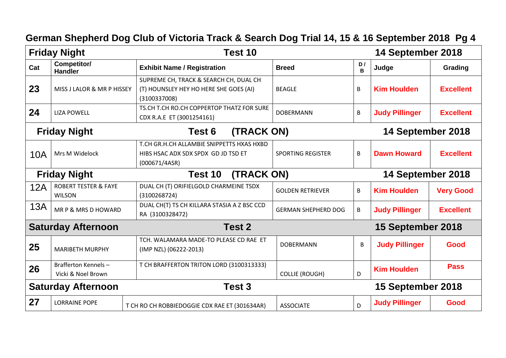#### **Friday Night Test 10 14 September 2018 Cat Competitor/ Exhibit Name / Registration Breed D** / **Breed B Judge Grading** 23 | MISS J LALOR & MR P HISSEY SUPREME CH, TRACK & SEARCH CH, DUAL CH (T) HOUNSLEY HEY HO HERE SHE GOES (AI) (3100337008) BEAGLE **B** B **Kim Houlden Excellent** 24 | LIZA POWELL TS.CH T.CH RO.CH COPPERTOP THATZ FOR SURE CDX R.A.E ET (3001254161) DOBERMANN B **Judy Pillinger Excellent Friday Night Test 6 (TRACK ON) 14 September 2018** 10A | Mrs M Widelock T.CH GR.H.CH ALLAMBIE SNIPPETTS HXAS HXBD HIBS HSAC ADX SDX SPDX GD JD TSD ET (000671/4ASR) SPORTING REGISTER B **Dawn Howard Excellent Friday Night Test 10 (TRACK ON) 14 September 2018** 12A | ROBERT TESTER & FAYE WILSON DUAL CH (T) ORIFIELGOLD CHARMEINE TSDX (3100268724) GOLDEN RETRIEVER B **Kim Houlden Very Good**  $13A$   $\vert$  MR P & MRS D HOWARD DUAL CH(T) TS CH KILLARA STASIA A Z BSC CCD RA (3100328472) GERMAN SHEPHERD DOG | B | Judy Pillinger | Excellent **Saturday Afternoon Test 2 15 September 2018** 25 MARIBETH MURPHY TCH. WALAMARA MADE-TO PLEASE CD RAE ET (IMP NZL) (06222-2013) DOBERMANN B **Judy Pillinger Good 26** Brafferton Kennels – Vicki & Noel Brown T CH BRAFFERTON TRITON LORD (3100313333) COLLIE (ROUGH) D **Kim Houlden Pass Saturday Afternoon Test 3 15 September 2018 27** LORRAINE POPE T CH RO CH ROBBIEDOGGIE CDX RAE ET (301634AR) ASSOCIATE **Judy Pillinger Good**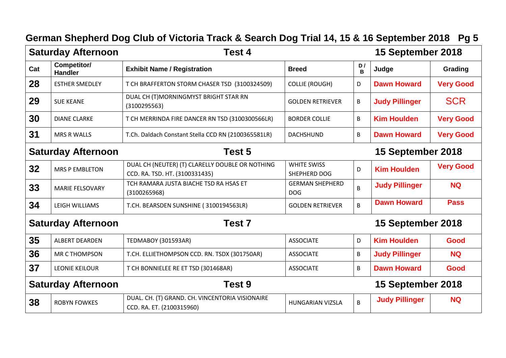| <b>Saturday Afternoon</b> |                               | <b>Test 4</b>                                                                     |                                      |                    | 15 September 2018     |                  |
|---------------------------|-------------------------------|-----------------------------------------------------------------------------------|--------------------------------------|--------------------|-----------------------|------------------|
| Cat                       | Competitor/<br><b>Handler</b> | <b>Exhibit Name / Registration</b>                                                | <b>Breed</b>                         | D/<br><sub>B</sub> | Judge                 | Grading          |
| 28                        | <b>ESTHER SMEDLEY</b>         | T CH BRAFFERTON STORM CHASER TSD (3100324509)                                     | <b>COLLIE (ROUGH)</b>                | D                  | <b>Dawn Howard</b>    | <b>Very Good</b> |
| 29                        | <b>SUE KEANE</b>              | DUAL CH (T)MORNINGMYST BRIGHT STAR RN<br>(3100295563)                             | <b>GOLDEN RETRIEVER</b>              | B                  | <b>Judy Pillinger</b> | <b>SCR</b>       |
| 30                        | <b>DIANE CLARKE</b>           | T CH MERRINDA FIRE DANCER RN TSD (3100300566LR)                                   | <b>BORDER COLLIE</b>                 | B                  | <b>Kim Houlden</b>    | <b>Very Good</b> |
| 31                        | <b>MRS R WALLS</b>            | T.Ch. Daldach Constant Stella CCD RN (2100365581LR)                               | <b>DACHSHUND</b>                     | B                  | <b>Dawn Howard</b>    | <b>Very Good</b> |
| <b>Saturday Afternoon</b> |                               | Test 5                                                                            |                                      |                    | 15 September 2018     |                  |
| 32                        | <b>MRS P EMBLETON</b>         | DUAL CH (NEUTER) (T) CLARELLY DOUBLE OR NOTHING<br>CCD. RA. TSD. HT. (3100331435) | <b>WHITE SWISS</b><br>SHEPHERD DOG   | D                  | <b>Kim Houlden</b>    | <b>Very Good</b> |
| 33                        | <b>MARIE FELSOVARY</b>        | TCH RAMARA JUSTA BIACHE TSD RA HSAS ET<br>(3100265968)                            | <b>GERMAN SHEPHERD</b><br><b>DOG</b> | B                  | <b>Judy Pillinger</b> | <b>NQ</b>        |
| 34                        | LEIGH WILLIAMS                | T.CH. BEARSDEN SUNSHINE (3100194563LR)                                            | <b>GOLDEN RETRIEVER</b>              | B                  | <b>Dawn Howard</b>    | <b>Pass</b>      |
|                           | <b>Saturday Afternoon</b>     | Test <sub>7</sub>                                                                 |                                      |                    | 15 September 2018     |                  |
| 35                        | <b>ALBERT DEARDEN</b>         | <b>TEDMABOY (301593AR)</b>                                                        | <b>ASSOCIATE</b>                     | D                  | <b>Kim Houlden</b>    | Good             |
| 36                        | MR C THOMPSON                 | T.CH. ELLIETHOMPSON CCD. RN. TSDX (301750AR)                                      | <b>ASSOCIATE</b>                     | $\sf B$            | <b>Judy Pillinger</b> | <b>NQ</b>        |
| 37                        | <b>LEONIE KEILOUR</b>         | T CH BONNIELEE RE ET TSD (301468AR)                                               | <b>ASSOCIATE</b>                     | B                  | <b>Dawn Howard</b>    | Good             |
| <b>Saturday Afternoon</b> |                               | Test 9                                                                            |                                      |                    | 15 September 2018     |                  |
| 38                        | <b>ROBYN FOWKES</b>           | DUAL. CH. (T) GRAND. CH. VINCENTORIA VISIONAIRE<br>CCD. RA. ET. (2100315960)      | <b>HUNGARIAN VIZSLA</b>              | B                  | <b>Judy Pillinger</b> | <b>NQ</b>        |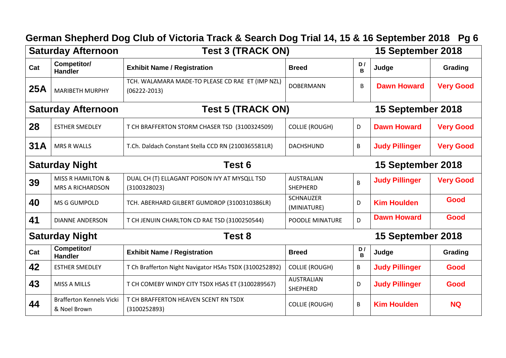|                                                | <b>Saturday Afternoon</b>                               | <b>Test 3 (TRACK ON)</b>                                             |                                 |                   | 15 September 2018     |                  |  |
|------------------------------------------------|---------------------------------------------------------|----------------------------------------------------------------------|---------------------------------|-------------------|-----------------------|------------------|--|
| Cat                                            | Competitor/<br><b>Handler</b>                           | <b>Exhibit Name / Registration</b>                                   | <b>Breed</b>                    | D/<br>B           | Judge                 | Grading          |  |
| <b>25A</b>                                     | <b>MARIBETH MURPHY</b>                                  | TCH. WALAMARA MADE-TO PLEASE CD RAE ET (IMP NZL)<br>$(06222 - 2013)$ | <b>DOBERMANN</b>                | В                 | <b>Dawn Howard</b>    | <b>Very Good</b> |  |
| Test 5 (TRACK ON)<br><b>Saturday Afternoon</b> |                                                         |                                                                      |                                 | 15 September 2018 |                       |                  |  |
| 28                                             | <b>ESTHER SMEDLEY</b>                                   | T CH BRAFFERTON STORM CHASER TSD (3100324509)                        | <b>COLLIE (ROUGH)</b>           | D                 | <b>Dawn Howard</b>    | <b>Very Good</b> |  |
| 31A                                            | <b>MRS R WALLS</b>                                      | T.Ch. Daldach Constant Stella CCD RN (2100365581LR)                  | <b>DACHSHUND</b>                | B                 | <b>Judy Pillinger</b> | <b>Very Good</b> |  |
|                                                | <b>Saturday Night</b><br>Test 6                         |                                                                      |                                 |                   | 15 September 2018     |                  |  |
| 39                                             | <b>MISS R HAMILTON &amp;</b><br><b>MRS A RICHARDSON</b> | DUAL CH (T) ELLAGANT POISON IVY AT MYSQLL TSD<br>(3100328023)        | <b>AUSTRALIAN</b><br>SHEPHERD   | B                 | <b>Judy Pillinger</b> | <b>Very Good</b> |  |
| 40                                             | MS G GUMPOLD                                            | TCH. ABERHARD GILBERT GUMDROP (3100310386LR)                         | <b>SCHNAUZER</b><br>(MINIATURE) | D                 | <b>Kim Houlden</b>    | Good             |  |
| 41                                             | <b>DIANNE ANDERSON</b>                                  | T CH JENUIN CHARLTON CD RAE TSD (3100250544)                         | POODLE MINATURE                 | D                 | <b>Dawn Howard</b>    | Good             |  |
|                                                | <b>Saturday Night</b>                                   | Test 8                                                               |                                 |                   | 15 September 2018     |                  |  |
| Cat                                            | Competitor/<br><b>Handler</b>                           | <b>Exhibit Name / Registration</b>                                   | <b>Breed</b>                    | D/<br>B           | Judge                 | Grading          |  |
| 42                                             | <b>ESTHER SMEDLEY</b>                                   | T Ch Brafferton Night Navigator HSAs TSDX (3100252892)               | <b>COLLIE (ROUGH)</b>           | B                 | <b>Judy Pillinger</b> | Good             |  |
| 43                                             | <b>MISS A MILLS</b>                                     | T CH COMEBY WINDY CITY TSDX HSAS ET (3100289567)                     | <b>AUSTRALIAN</b><br>SHEPHERD   | D                 | <b>Judy Pillinger</b> | Good             |  |
| 44                                             | <b>Brafferton Kennels Vicki</b><br>& Noel Brown         | T CH BRAFFERTON HEAVEN SCENT RN TSDX<br>(3100252893)                 | <b>COLLIE (ROUGH)</b>           | B                 | <b>Kim Houlden</b>    | <b>NQ</b>        |  |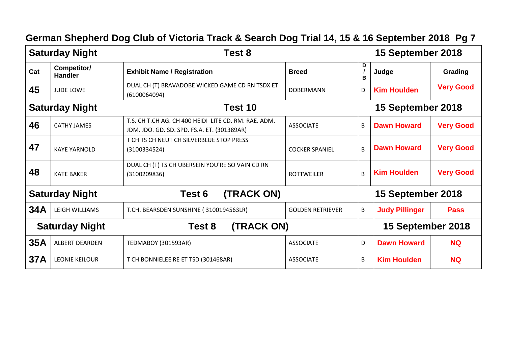|                                 | <b>Saturday Night</b>            | Test 8                                                                                              |                         |                | 15 September 2018     |                  |  |
|---------------------------------|----------------------------------|-----------------------------------------------------------------------------------------------------|-------------------------|----------------|-----------------------|------------------|--|
| Cat                             | Competitor/<br><b>Handler</b>    | <b>Exhibit Name / Registration</b>                                                                  | <b>Breed</b>            | D<br>в         | Judge                 | Grading          |  |
| 45                              | <b>JUDE LOWE</b>                 | DUAL CH (T) BRAVADOBE WICKED GAME CD RN TSDX ET<br>(6100064094)                                     | <b>DOBERMANN</b>        | D              | <b>Kim Houlden</b>    | <b>Very Good</b> |  |
|                                 | <b>Saturday Night</b><br>Test 10 |                                                                                                     |                         |                | 15 September 2018     |                  |  |
| 46                              | <b>CATHY JAMES</b>               | T.S. CH T.CH AG. CH 400 HEIDI LITE CD. RM. RAE. ADM.<br>JDM. JDO. GD. SD. SPD. FS.A. ET. (301389AR) | <b>ASSOCIATE</b>        | B              | <b>Dawn Howard</b>    | <b>Very Good</b> |  |
| 47                              | <b>KAYE YARNOLD</b>              | T CH TS CH NEUT CH SILVERBLUE STOP PRESS<br>(3100334524)                                            | <b>COCKER SPANIEL</b>   | $\overline{B}$ | <b>Dawn Howard</b>    | <b>Very Good</b> |  |
| 48                              | <b>KATE BAKER</b>                | DUAL CH (T) TS CH UBERSEIN YOU'RE SO VAIN CD RN<br>(3100209836)                                     | <b>ROTTWEILER</b>       | $\overline{B}$ | <b>Kim Houlden</b>    | <b>Very Good</b> |  |
| <b>Saturday Night</b>           |                                  | (TRACK ON)<br>Test 6                                                                                |                         |                | 15 September 2018     |                  |  |
| 34A                             | LEIGH WILLIAMS                   | T.CH. BEARSDEN SUNSHINE (3100194563LR)                                                              | <b>GOLDEN RETRIEVER</b> | $\mathsf B$    | <b>Judy Pillinger</b> | <b>Pass</b>      |  |
| <b>Saturday Night</b><br>Test 8 |                                  | (TRACK ON)                                                                                          |                         |                | 15 September 2018     |                  |  |
| 35A                             | <b>ALBERT DEARDEN</b>            | <b>TEDMABOY (301593AR)</b>                                                                          | <b>ASSOCIATE</b>        | D              | <b>Dawn Howard</b>    | <b>NQ</b>        |  |
| <b>37A</b>                      | <b>LEONIE KEILOUR</b>            | T CH BONNIELEE RE ET TSD (301468AR)                                                                 | <b>ASSOCIATE</b>        | B              | <b>Kim Houlden</b>    | <b>NQ</b>        |  |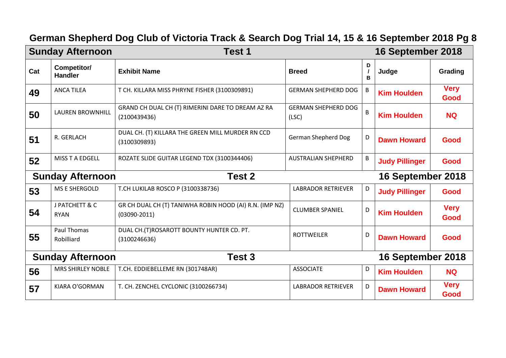|                                   | <b>Sunday Afternoon</b>       | Test 1                                                                      |                                     |        | 16 September 2018     |                     |
|-----------------------------------|-------------------------------|-----------------------------------------------------------------------------|-------------------------------------|--------|-----------------------|---------------------|
| Cat                               | Competitor/<br><b>Handler</b> | <b>Exhibit Name</b>                                                         | <b>Breed</b>                        | D<br>B | Judge                 | Grading             |
| 49                                | <b>ANCA TILEA</b>             | T CH. KILLARA MISS PHRYNE FISHER (3100309891)                               | <b>GERMAN SHEPHERD DOG</b>          | B      | <b>Kim Houlden</b>    | <b>Very</b><br>Good |
| 50                                | <b>LAUREN BROWNHILL</b>       | GRAND CH DUAL CH (T) RIMERINI DARE TO DREAM AZ RA<br>(2100439436)           | <b>GERMAN SHEPHERD DOG</b><br>(LSC) | B      | <b>Kim Houlden</b>    | <b>NQ</b>           |
| 51                                | R. GERLACH                    | DUAL CH. (T) KILLARA THE GREEN MILL MURDER RN CCD<br>(3100309893)           | German Shepherd Dog                 | D      | <b>Dawn Howard</b>    | Good                |
| 52                                | MISS T A EDGELL               | ROZATE SLIDE GUITAR LEGEND TDX (3100344406)                                 | <b>AUSTRALIAN SHEPHERD</b>          | B      | <b>Judy Pillinger</b> | Good                |
|                                   | <b>Sunday Afternoon</b>       | <b>Test 2</b>                                                               |                                     |        | 16 September 2018     |                     |
| 53                                | MS E SHERGOLD                 | T.CH LUKILAB ROSCO P (3100338736)                                           | <b>LABRADOR RETRIEVER</b>           | D      | <b>Judy Pillinger</b> | Good                |
| 54                                | J PATCHETT & C<br><b>RYAN</b> | GR CH DUAL CH (T) TANIWHA ROBIN HOOD (AI) R.N. (IMP NZ)<br>$(03090 - 2011)$ | <b>CLUMBER SPANIEL</b>              | D      | <b>Kim Houlden</b>    | <b>Very</b><br>Good |
| 55                                | Paul Thomas<br>Robilliard     | DUAL CH. (T)ROSAROTT BOUNTY HUNTER CD. PT.<br>(3100246636)                  | <b>ROTTWEILER</b>                   | D      | <b>Dawn Howard</b>    | Good                |
| Test 3<br><b>Sunday Afternoon</b> |                               |                                                                             | 16 September 2018                   |        |                       |                     |
| 56                                | <b>MRS SHIRLEY NOBLE</b>      | T.CH. EDDIEBELLEME RN (301748AR)                                            | <b>ASSOCIATE</b>                    | D      | <b>Kim Houlden</b>    | <b>NQ</b>           |
| 57                                | KIARA O'GORMAN                | T. CH. ZENCHEL CYCLONIC (3100266734)                                        | <b>LABRADOR RETRIEVER</b>           | D      | <b>Dawn Howard</b>    | <b>Very</b><br>Good |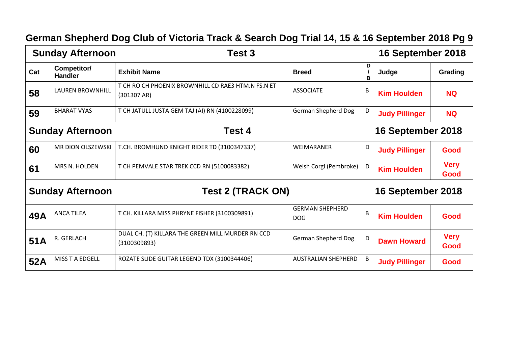|     | <b>Sunday Afternoon</b>       | Test 3                                                            |                                      |        | 16 September 2018     |                     |
|-----|-------------------------------|-------------------------------------------------------------------|--------------------------------------|--------|-----------------------|---------------------|
| Cat | Competitor/<br><b>Handler</b> | <b>Exhibit Name</b>                                               | <b>Breed</b>                         | D<br>B | Judge                 | Grading             |
| 58  | <b>LAUREN BROWNHILL</b>       | T CH RO CH PHOENIX BROWNHILL CD RAE3 HTM.N FS.N ET<br>(301307 AR) | <b>ASSOCIATE</b>                     | B      | <b>Kim Houlden</b>    | <b>NQ</b>           |
| 59  | <b>BHARAT VYAS</b>            | T CH JATULL JUSTA GEM TAJ (AI) RN (4100228099)                    | <b>German Shepherd Dog</b>           | D      | <b>Judy Pillinger</b> | <b>NQ</b>           |
|     | <b>Sunday Afternoon</b>       | Test 4                                                            |                                      |        | 16 September 2018     |                     |
| 60  | MR DION OLSZEWSKI             | T.CH. BROMHUND KNIGHT RIDER TD (3100347337)                       | WEIMARANER                           | D      | <b>Judy Pillinger</b> | Good                |
| 61  | MRS N. HOLDEN                 | T CH PEMVALE STAR TREK CCD RN (5100083382)                        | Welsh Corgi (Pembroke)               | D      | <b>Kim Houlden</b>    | <b>Very</b><br>Good |
|     | <b>Sunday Afternoon</b>       | <b>Test 2 (TRACK ON)</b>                                          |                                      |        | 16 September 2018     |                     |
| 49A | <b>ANCA TILEA</b>             | T CH. KILLARA MISS PHRYNE FISHER (3100309891)                     | <b>GERMAN SHEPHERD</b><br><b>DOG</b> | B      | <b>Kim Houlden</b>    | Good                |
|     | $\frac{1}{2}$                 | DUAL CH. (T) KILLARA THE GREEN MILL MURDER RN CCD                 |                                      |        |                       | <b><i>Mary</i></b>  |

German Shepherd Dog D **D** Dawn Howard **Very** 

**Good**

**Judy Pillinger Good**

 $51A$  R. GERLACH

(3100309893)

**52A** MISS T A EDGELL ROZATE SLIDE GUITAR LEGEND TDX (3100344406) AUSTRALIAN SHEPHERD B